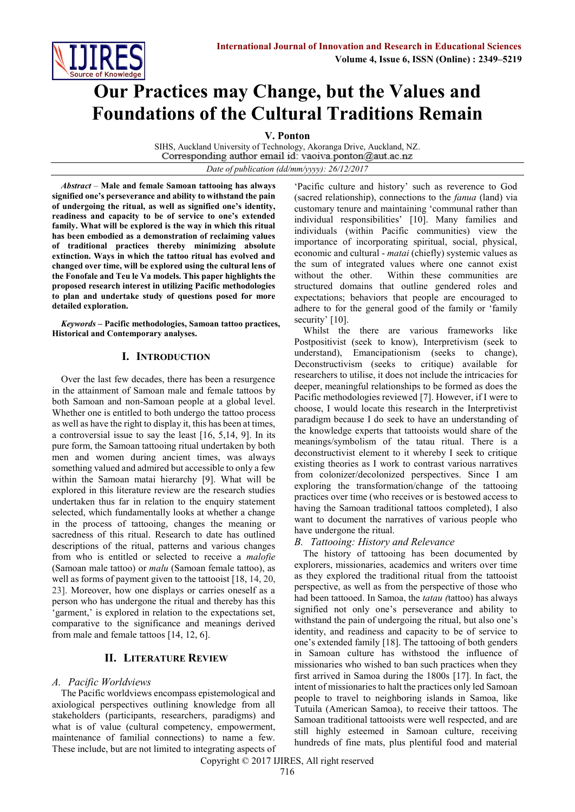

# **Our Practices may Change, but the Values and Foundations of the Cultural Traditions Remain**

**V. Ponton**

SIHS, Auckland University of Technology, Akoranga Drive, Auckland, NZ.<br>Corresponding author email id: vaoiva.ponton@aut.ac.nz

*Date of publication (dd/mm/yyyy): 26/12/2017*

*Abstract* – **Male and female Samoan tattooing has always signified one's perseverance and ability to withstand the pain of undergoing the ritual, as well as signified one's identity, readiness and capacity to be of service to one's extended family. What will be explored is the way in which this ritual has been embodied as a demonstration of reclaiming values of traditional practices thereby minimizing absolute extinction. Ways in which the tattoo ritual has evolved and changed over time, will be explored using the cultural lens of the Fonofale and Teu le Va models. This paper highlights the proposed research interest in utilizing Pacific methodologies to plan and undertake study of questions posed for more detailed exploration.** 

*Keywords* **– Pacific methodologies, Samoan tattoo practices, Historical and Contemporary analyses.**

# **I. INTRODUCTION**

Over the last few decades, there has been a resurgence in the attainment of Samoan male and female tattoos by both Samoan and non-Samoan people at a global level. Whether one is entitled to both undergo the tattoo process as well as have the right to display it, this has been at times, a controversial issue to say the least [16, 5,14, 9]. In its pure form, the Samoan tattooing ritual undertaken by both men and women during ancient times, was always something valued and admired but accessible to only a few within the Samoan matai hierarchy [9]. What will be explored in this literature review are the research studies undertaken thus far in relation to the enquiry statement selected, which fundamentally looks at whether a change in the process of tattooing, changes the meaning or sacredness of this ritual. Research to date has outlined descriptions of the ritual, patterns and various changes from who is entitled or selected to receive a *malofie* (Samoan male tattoo) or *malu* (Samoan female tattoo), as well as forms of payment given to the tattooist [18, 14, 20, 23]. Moreover, how one displays or carries oneself as a person who has undergone the ritual and thereby has this 'garment,' is explored in relation to the expectations set, comparative to the significance and meanings derived from male and female tattoos [14, 12, 6].

# **II. LITERATURE REVIEW**

### *A. Pacific Worldviews*

The Pacific worldviews encompass epistemological and axiological perspectives outlining knowledge from all stakeholders (participants, researchers, paradigms) and what is of value (cultural competency, empowerment, maintenance of familial connections) to name a few. These include, but are not limited to integrating aspects of 'Pacific culture and history' such as reverence to God (sacred relationship), connections to the *fanua* (land) via customary tenure and maintaining 'communal rather than individual responsibilities' [10]. Many families and individuals (within Pacific communities) view the importance of incorporating spiritual, social, physical, economic and cultural - *matai* (chiefly) systemic values as the sum of integrated values where one cannot exist without the other. Within these communities are structured domains that outline gendered roles and expectations; behaviors that people are encouraged to adhere to for the general good of the family or 'family security' [10].

Whilst the there are various frameworks like Postpositivist (seek to know), Interpretivism (seek to understand), Emancipationism (seeks to change), Deconstructivism (seeks to critique) available for researchers to utilise, it does not include the intricacies for deeper, meaningful relationships to be formed as does the Pacific methodologies reviewed [7]. However, if I were to choose, I would locate this research in the Interpretivist paradigm because I do seek to have an understanding of the knowledge experts that tattooists would share of the meanings/symbolism of the tatau ritual. There is a deconstructivist element to it whereby I seek to critique existing theories as I work to contrast various narratives from colonizer/decolonized perspectives. Since I am exploring the transformation/change of the tattooing practices over time (who receives or is bestowed access to having the Samoan traditional tattoos completed), I also want to document the narratives of various people who have undergone the ritual.

### *B. Tattooing: History and Relevance*

The history of tattooing has been documented by explorers, missionaries, academics and writers over time as they explored the traditional ritual from the tattooist perspective, as well as from the perspective of those who had been tattooed. In Samoa, the *tatau (*tattoo) has always signified not only one's perseverance and ability to withstand the pain of undergoing the ritual, but also one's identity, and readiness and capacity to be of service to one's extended family [18]. The tattooing of both genders in Samoan culture has withstood the influence of missionaries who wished to ban such practices when they first arrived in Samoa during the 1800s [17]. In fact, the intent of missionaries to halt the practices only led Samoan people to travel to neighboring islands in Samoa, like Tutuila (American Samoa), to receive their tattoos. The Samoan traditional tattooists were well respected, and are still highly esteemed in Samoan culture, receiving hundreds of fine mats, plus plentiful food and material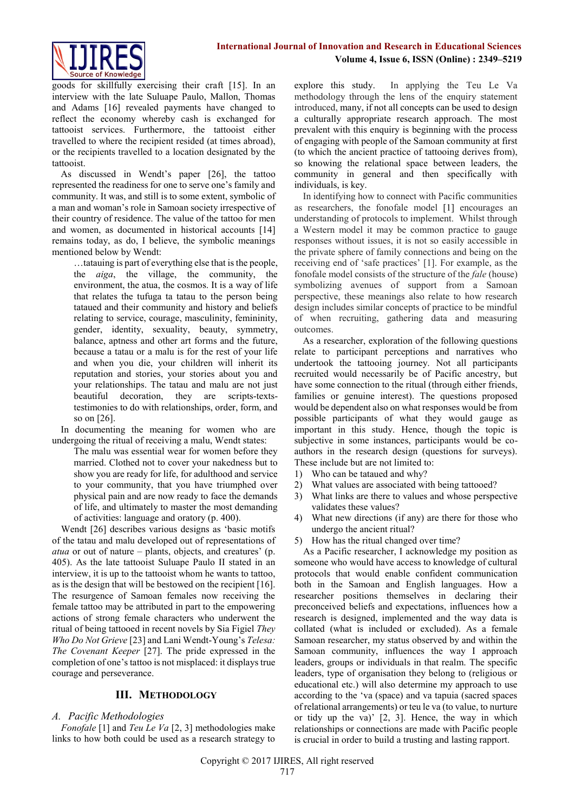

goods for skillfully exercising their craft [15]. In an interview with the late Suluape Paulo, Mallon, Thomas and Adams [16] revealed payments have changed to reflect the economy whereby cash is exchanged for tattooist services. Furthermore, the tattooist either travelled to where the recipient resided (at times abroad), or the recipients travelled to a location designated by the tattooist.

As discussed in Wendt's paper [26], the tattoo represented the readiness for one to serve one's family and community. It was, and still is to some extent, symbolic of a man and woman's role in Samoan society irrespective of their country of residence. The value of the tattoo for men and women, as documented in historical accounts [14] remains today, as do, I believe, the symbolic meanings mentioned below by Wendt:

…tatauing is part of everything else that is the people, the *aiga*, the village, the community, the environment, the atua, the cosmos. It is a way of life that relates the tufuga ta tatau to the person being tataued and their community and history and beliefs relating to service, courage, masculinity, femininity, gender, identity, sexuality, beauty, symmetry, balance, aptness and other art forms and the future, because a tatau or a malu is for the rest of your life and when you die, your children will inherit its reputation and stories, your stories about you and your relationships. The tatau and malu are not just beautiful decoration, they are scripts-textstestimonies to do with relationships, order, form, and so on [26].

In documenting the meaning for women who are undergoing the ritual of receiving a malu, Wendt states:

The malu was essential wear for women before they married. Clothed not to cover your nakedness but to show you are ready for life, for adulthood and service to your community, that you have triumphed over physical pain and are now ready to face the demands of life, and ultimately to master the most demanding of activities: language and oratory (p. 400).

Wendt [26] describes various designs as 'basic motifs of the tatau and malu developed out of representations of *atua* or out of nature – plants, objects, and creatures' (p. 405). As the late tattooist Suluape Paulo II stated in an interview, it is up to the tattooist whom he wants to tattoo, as is the design that will be bestowed on the recipient [16]. The resurgence of Samoan females now receiving the female tattoo may be attributed in part to the empowering actions of strong female characters who underwent the ritual of being tattooed in recent novels by Sia Figiel *They Who Do Not Grieve* [23] and Lani Wendt-Young's *Telesa: The Covenant Keeper* [27]. The pride expressed in the completion of one's tattoo is not misplaced: it displays true courage and perseverance.

### **III. METHODOLOGY**

### *A. Pacific Methodologies*

*Fonofale* [1] and *Teu Le Va* [2, 3] methodologies make links to how both could be used as a research strategy to explore this study. In applying the Teu Le Va methodology through the lens of the enquiry statement introduced, many, if not all concepts can be used to design a culturally appropriate research approach. The most prevalent with this enquiry is beginning with the process of engaging with people of the Samoan community at first (to which the ancient practice of tattooing derives from), so knowing the relational space between leaders, the community in general and then specifically with individuals, is key.

In identifying how to connect with Pacific communities as researchers, the fonofale model [1] encourages an understanding of protocols to implement. Whilst through a Western model it may be common practice to gauge responses without issues, it is not so easily accessible in the private sphere of family connections and being on the receiving end of 'safe practices' [1]. For example, as the fonofale model consists of the structure of the *fale* (house) symbolizing avenues of support from a Samoan perspective, these meanings also relate to how research design includes similar concepts of practice to be mindful of when recruiting, gathering data and measuring outcomes.

As a researcher, exploration of the following questions relate to participant perceptions and narratives who undertook the tattooing journey. Not all participants recruited would necessarily be of Pacific ancestry, but have some connection to the ritual (through either friends, families or genuine interest). The questions proposed would be dependent also on what responses would be from possible participants of what they would gauge as important in this study. Hence, though the topic is subjective in some instances, participants would be coauthors in the research design (questions for surveys). These include but are not limited to:

- 1) Who can be tataued and why?
- 2) What values are associated with being tattooed?
- 3) What links are there to values and whose perspective validates these values?
- 4) What new directions (if any) are there for those who undergo the ancient ritual?
- 5) How has the ritual changed over time?

As a Pacific researcher, I acknowledge my position as someone who would have access to knowledge of cultural protocols that would enable confident communication both in the Samoan and English languages. How a researcher positions themselves in declaring their preconceived beliefs and expectations, influences how a research is designed, implemented and the way data is collated (what is included or excluded). As a female Samoan researcher, my status observed by and within the Samoan community, influences the way I approach leaders, groups or individuals in that realm. The specific leaders, type of organisation they belong to (religious or educational etc.) will also determine my approach to use according to the 'va (space) and va tapuia (sacred spaces of relational arrangements) or teu le va (to value, to nurture or tidy up the va)' [2, 3]. Hence, the way in which relationships or connections are made with Pacific people is crucial in order to build a trusting and lasting rapport.